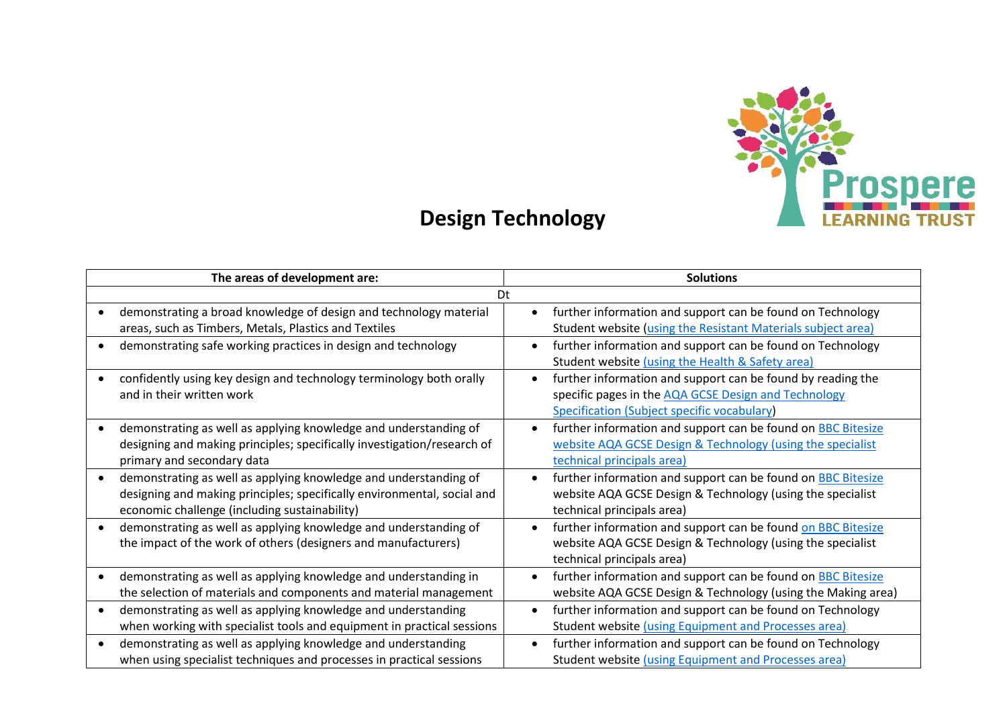

## **Design Technology**

|           | The areas of development are:                                                                                                                                                                | <b>Solutions</b>                                                                                                                                                   |  |
|-----------|----------------------------------------------------------------------------------------------------------------------------------------------------------------------------------------------|--------------------------------------------------------------------------------------------------------------------------------------------------------------------|--|
| Dt        |                                                                                                                                                                                              |                                                                                                                                                                    |  |
|           | demonstrating a broad knowledge of design and technology material<br>areas, such as Timbers, Metals, Plastics and Textiles                                                                   | further information and support can be found on Technology<br>$\bullet$<br>Student website (using the Resistant Materials subject area)                            |  |
|           | demonstrating safe working practices in design and technology                                                                                                                                | further information and support can be found on Technology<br>Student website (using the Health & Safety area)                                                     |  |
|           | confidently using key design and technology terminology both orally<br>and in their written work                                                                                             | further information and support can be found by reading the<br>specific pages in the AQA GCSE Design and Technology<br>Specification (Subject specific vocabulary) |  |
|           | demonstrating as well as applying knowledge and understanding of<br>designing and making principles; specifically investigation/research of<br>primary and secondary data                    | further information and support can be found on <b>BBC Bitesize</b><br>website AQA GCSE Design & Technology (using the specialist<br>technical principals area)    |  |
|           | demonstrating as well as applying knowledge and understanding of<br>designing and making principles; specifically environmental, social and<br>economic challenge (including sustainability) | further information and support can be found on BBC Bitesize<br>website AQA GCSE Design & Technology (using the specialist<br>technical principals area)           |  |
|           | demonstrating as well as applying knowledge and understanding of<br>the impact of the work of others (designers and manufacturers)                                                           | further information and support can be found on BBC Bitesize<br>website AQA GCSE Design & Technology (using the specialist<br>technical principals area)           |  |
|           | demonstrating as well as applying knowledge and understanding in<br>the selection of materials and components and material management                                                        | further information and support can be found on <b>BBC Bitesize</b><br>website AQA GCSE Design & Technology (using the Making area)                                |  |
| $\bullet$ | demonstrating as well as applying knowledge and understanding<br>when working with specialist tools and equipment in practical sessions                                                      | further information and support can be found on Technology<br>Student website (using Equipment and Processes area)                                                 |  |
| $\bullet$ | demonstrating as well as applying knowledge and understanding<br>when using specialist techniques and processes in practical sessions                                                        | further information and support can be found on Technology<br>Student website (using Equipment and Processes area)                                                 |  |